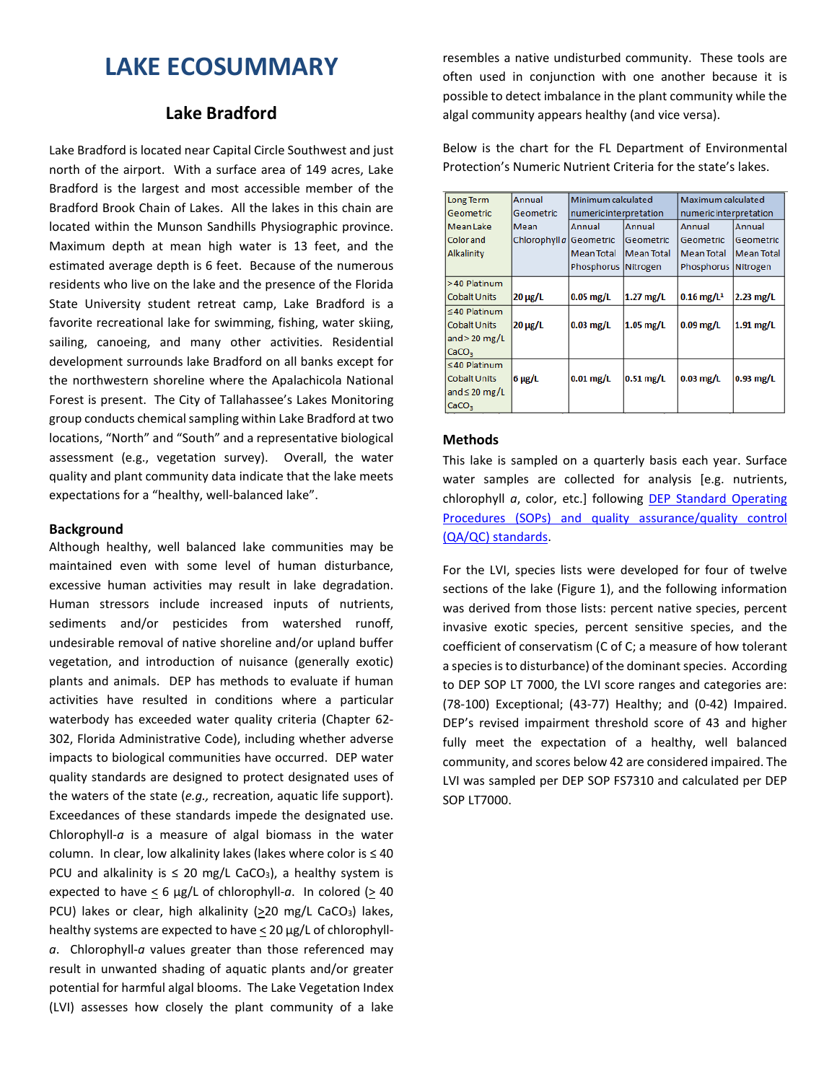# **LAKE ECOSUMMARY**

# **Lake Bradford**

Lake Bradford is located near Capital Circle Southwest and just north of the airport. With a surface area of 149 acres, Lake Bradford is the largest and most accessible member of the Bradford Brook Chain of Lakes. All the lakes in this chain are located within the Munson Sandhills Physiographic province. Maximum depth at mean high water is 13 feet, and the estimated average depth is 6 feet. Because of the numerous residents who live on the lake and the presence of the Florida State University student retreat camp, Lake Bradford is a favorite recreational lake for swimming, fishing, water skiing, sailing, canoeing, and many other activities. Residential development surrounds lake Bradford on all banks except for the northwestern shoreline where the Apalachicola National Forest is present. The City of Tallahassee's Lakes Monitoring group conducts chemical sampling within Lake Bradford at two locations, "North" and "South" and a representative biological assessment (e.g., vegetation survey). Overall, the water quality and plant community data indicate that the lake meets expectations for a "healthy, well-balanced lake".

#### **Background**

Although healthy, well balanced lake communities may be maintained even with some level of human disturbance, excessive human activities may result in lake degradation. Human stressors include increased inputs of nutrients, sediments and/or pesticides from watershed runoff, undesirable removal of native shoreline and/or upland buffer vegetation, and introduction of nuisance (generally exotic) plants and animals. DEP has methods to evaluate if human activities have resulted in conditions where a particular waterbody has exceeded water quality criteria (Chapter 62- 302, Florida Administrative Code), including whether adverse impacts to biological communities have occurred. DEP water quality standards are designed to protect designated uses of the waters of the state (*e.g.,* recreation, aquatic life support). Exceedances of these standards impede the designated use. Chlorophyll-*a* is a measure of algal biomass in the water column. In clear, low alkalinity lakes (lakes where color is  $\leq 40$ PCU and alkalinity is  $\leq$  20 mg/L CaCO<sub>3</sub>), a healthy system is expected to have  $\leq 6$  µg/L of chlorophyll-a. In colored ( $\geq 40$ ) PCU) lakes or clear, high alkalinity (>20 mg/L CaCO<sub>3</sub>) lakes, healthy systems are expected to have  $\leq$  20 µg/L of chlorophyll*a*. Chlorophyll-*a* values greater than those referenced may result in unwanted shading of aquatic plants and/or greater potential for harmful algal blooms. The Lake Vegetation Index (LVI) assesses how closely the plant community of a lake

resembles a native undisturbed community. These tools are often used in conjunction with one another because it is possible to detect imbalance in the plant community while the algal community appears healthy (and vice versa).

Below is the chart for the FL Department of Environmental Protection's Numeric Nutrient Criteria for the state's lakes.

| Long Term           | Annual                  | Minimum calculated         |                   | Maximum calculated       |                   |  |  |
|---------------------|-------------------------|----------------------------|-------------------|--------------------------|-------------------|--|--|
| Geometric           | Geometric               | numeric interpretation     |                   | numeric interpretation   |                   |  |  |
| <b>Mean Lake</b>    | Mean                    | Annual<br>Annual<br>Annual |                   |                          | Annual            |  |  |
| Colorand            | Chlorophyll a Geometric |                            | Geometric         | Geometric                | Geometric         |  |  |
| Alkalinity          |                         | <b>Mean Total</b>          | <b>Mean Total</b> | <b>Mean Total</b>        | <b>Mean Total</b> |  |  |
|                     |                         | Phosphorus Nitrogen        |                   | Phosphorus Nitrogen      |                   |  |  |
| >40 Platinum        |                         |                            |                   |                          |                   |  |  |
| <b>Cobalt Units</b> | $20 \mu g/L$            | $0.05$ mg/L                | $1.27$ mg/L       | $0.16$ mg/L <sup>1</sup> | $2.23$ mg/L       |  |  |
| $\leq 40$ Platinum  |                         |                            |                   |                          |                   |  |  |
| <b>Cobalt Units</b> | $20 \mu g/L$            | $0.03$ mg/L                | $1.05$ mg/L       | $0.09$ mg/L              | $1.91$ mg/L       |  |  |
| and $>$ 20 mg/L     |                         |                            |                   |                          |                   |  |  |
| CaCO <sub>3</sub>   |                         |                            |                   |                          |                   |  |  |
| $≤ 40$ Platinum     |                         |                            |                   |                          |                   |  |  |
| <b>Cobalt Units</b> | $6 \mu g/L$             | $0.01$ mg/L                | $0.51$ mg/L       | $0.03$ mg/L              | $0.93$ mg/L       |  |  |
| and $\leq 20$ mg/L  |                         |                            |                   |                          |                   |  |  |
| CaCO <sub>3</sub>   |                         |                            |                   |                          |                   |  |  |

### **Methods**

This lake is sampled on a quarterly basis each year. Surface water samples are collected for analysis [e.g. nutrients, chlorophyll *a*, color, etc.] following [DEP Standard Operating](http://www.dep.state.fl.us/water/sas/qa/sops.htm)  [Procedures \(SOPs\) and quality assurance/quality control](http://www.dep.state.fl.us/water/sas/qa/sops.htm) (QA/QC) [standards.](http://www.dep.state.fl.us/water/sas/qa/sops.htm)

For the LVI, species lists were developed for four of twelve sections of the lake (Figure 1), and the following information was derived from those lists: percent native species, percent invasive exotic species, percent sensitive species, and the coefficient of conservatism (C of C; a measure of how tolerant a species is to disturbance) of the dominant species. According to DEP SOP LT 7000, the LVI score ranges and categories are: (78-100) Exceptional; (43-77) Healthy; and (0-42) Impaired. DEP's revised impairment threshold score of 43 and higher fully meet the expectation of a healthy, well balanced community, and scores below 42 are considered impaired. The LVI was sampled per DEP SOP FS7310 and calculated per DEP SOP LT7000.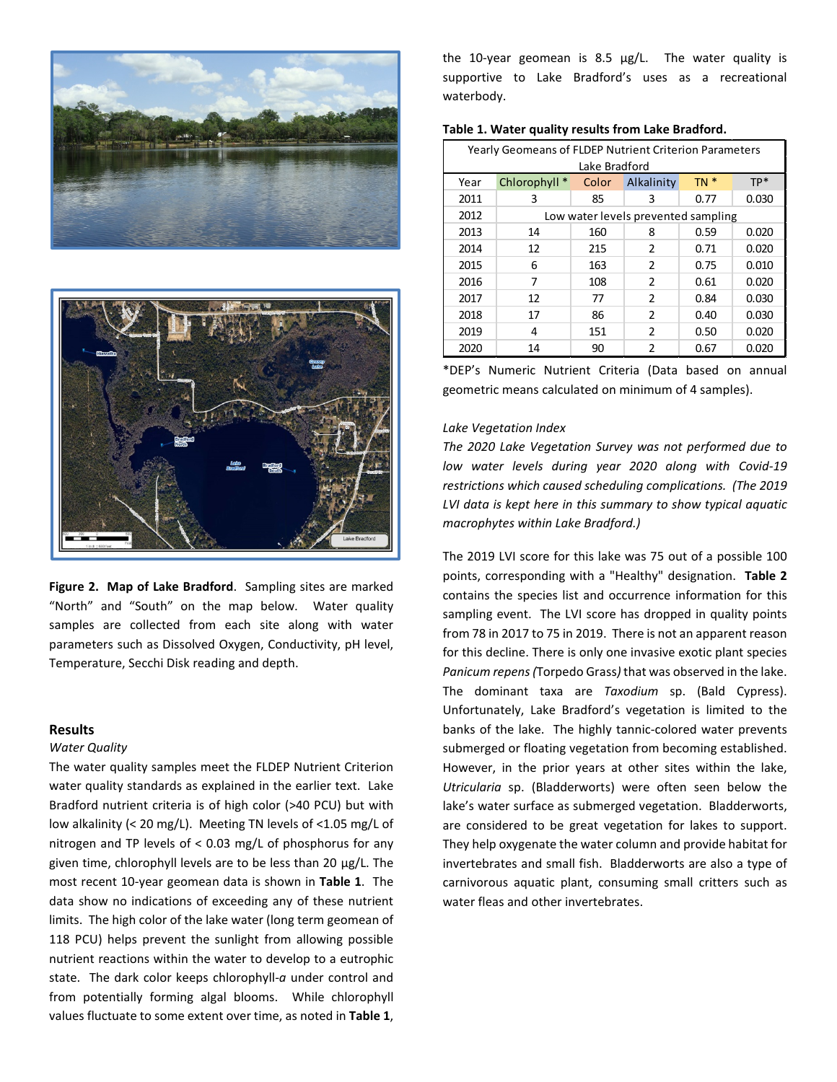



**Figure 2. Map of Lake Bradford**. Sampling sites are marked "North" and "South" on the map below. Water quality samples are collected from each site along with water parameters such as Dissolved Oxygen, Conductivity, pH level, Temperature, Secchi Disk reading and depth.

#### **Results**

#### *Water Quality*

The water quality samples meet the FLDEP Nutrient Criterion water quality standards as explained in the earlier text. Lake Bradford nutrient criteria is of high color (>40 PCU) but with low alkalinity (< 20 mg/L). Meeting TN levels of <1.05 mg/L of nitrogen and TP levels of < 0.03 mg/L of phosphorus for any given time, chlorophyll levels are to be less than 20 µg/L. The most recent 10-year geomean data is shown in **Table 1**. The data show no indications of exceeding any of these nutrient limits. The high color of the lake water (long term geomean of 118 PCU) helps prevent the sunlight from allowing possible nutrient reactions within the water to develop to a eutrophic state. The dark color keeps chlorophyll-*a* under control and from potentially forming algal blooms. While chlorophyll values fluctuate to some extent over time, as noted in **Table 1**,

the 10-year geomean is 8.5 µg/L. The water quality is supportive to Lake Bradford's uses as a recreational waterbody.

| Table 1. Water quality results from Lake Bradford. |  |  |  |  |
|----------------------------------------------------|--|--|--|--|
|----------------------------------------------------|--|--|--|--|

| <b>Yearly Geomeans of FLDEP Nutrient Criterion Parameters</b> |                                     |       |                |        |       |  |
|---------------------------------------------------------------|-------------------------------------|-------|----------------|--------|-------|--|
| Lake Bradford                                                 |                                     |       |                |        |       |  |
| Year                                                          | Chlorophyll *                       | Color | Alkalinity     | $TN *$ | $TP*$ |  |
| 2011                                                          | 3                                   | 85    | 3              | 0.77   | 0.030 |  |
| 2012                                                          | Low water levels prevented sampling |       |                |        |       |  |
| 2013                                                          | 14                                  | 160   | 8              | 0.59   | 0.020 |  |
| 2014                                                          | 12                                  | 215   | $\mathfrak{p}$ | 0.71   | 0.020 |  |
| 2015                                                          | 6                                   | 163   | $\mathfrak{p}$ | 0.75   | 0.010 |  |
| 2016                                                          | 7                                   | 108   | $\mathfrak{p}$ | 0.61   | 0.020 |  |
| 2017                                                          | 12                                  | 77    | 2              | 0.84   | 0.030 |  |
| 2018                                                          | 17                                  | 86    | $\mathfrak{p}$ | 0.40   | 0.030 |  |
| 2019                                                          | 4                                   | 151   | $\mathcal{P}$  | 0.50   | 0.020 |  |
| 2020                                                          | 14                                  | 90    | 2              | 0.67   | 0.020 |  |

\*DEP's Numeric Nutrient Criteria (Data based on annual geometric means calculated on minimum of 4 samples).

#### *Lake Vegetation Index*

*The 2020 Lake Vegetation Survey was not performed due to low water levels during year 2020 along with Covid-19 restrictions which caused scheduling complications. (The 2019 LVI data is kept here in this summary to show typical aquatic macrophytes within Lake Bradford.)*

The 2019 LVI score for this lake was 75 out of a possible 100 points, corresponding with a "Healthy" designation. **Table 2** contains the species list and occurrence information for this sampling event. The LVI score has dropped in quality points from 78 in 2017 to 75 in 2019. There is not an apparent reason for this decline. There is only one invasive exotic plant species *Panicum repens (*Torpedo Grass*)* that was observed in the lake. The dominant taxa are *Taxodium* sp. (Bald Cypress). Unfortunately, Lake Bradford's vegetation is limited to the banks of the lake. The highly tannic-colored water prevents submerged or floating vegetation from becoming established. However, in the prior years at other sites within the lake, *Utricularia* sp. (Bladderworts) were often seen below the lake's water surface as submerged vegetation. Bladderworts, are considered to be great vegetation for lakes to support. They help oxygenate the water column and provide habitat for invertebrates and small fish. Bladderworts are also a type of carnivorous aquatic plant, consuming small critters such as water fleas and other invertebrates.